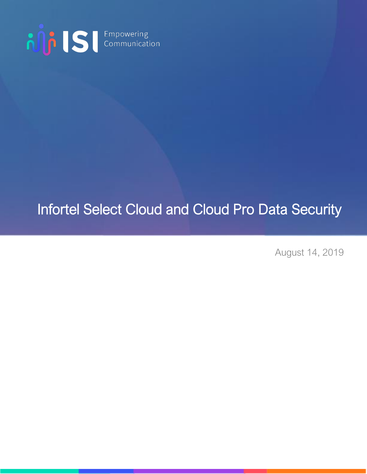

# Infortel Select Cloud and Cloud Pro Data Security

August 14, 2019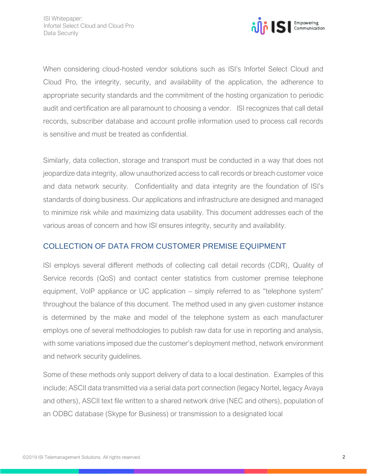

When considering cloud-hosted vendor solutions such as ISI's Infortel Select Cloud and Cloud Pro, the integrity, security, and availability of the application, the adherence to appropriate security standards and the commitment of the hosting organization to periodic audit and certification are all paramount to choosing a vendor. ISI recognizes that call detail records, subscriber database and account profile information used to process call records is sensitive and must be treated as confidential.

Similarly, data collection, storage and transport must be conducted in a way that does not jeopardize data integrity, allow unauthorized access to call records or breach customer voice and data network security. Confidentiality and data integrity are the foundation of ISI's standards of doing business. Our applications and infrastructure are designed and managed to minimize risk while and maximizing data usability. This document addresses each of the various areas of concern and how ISI ensures integrity, security and availability.

## COLLECTION OF DATA FROM CUSTOMER PREMISE EQUIPMENT

ISI employs several different methods of collecting call detail records (CDR), Quality of Service records (QoS) and contact center statistics from customer premise telephone equipment, VoIP appliance or UC application – simply referred to as "telephone system" throughout the balance of this document. The method used in any given customer instance is determined by the make and model of the telephone system as each manufacturer employs one of several methodologies to publish raw data for use in reporting and analysis, with some variations imposed due the customer's deployment method, network environment and network security guidelines.

Some of these methods only support delivery of data to a local destination. Examples of this include; ASCII data transmitted via a serial data port connection (legacy Nortel, legacy Avaya and others), ASCII text file written to a shared network drive (NEC and others), population of an ODBC database (Skype for Business) or transmission to a designated local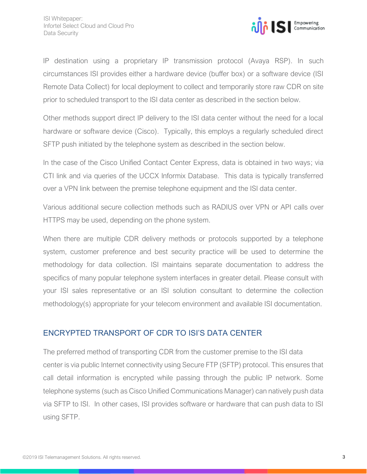

IP destination using a proprietary IP transmission protocol (Avaya RSP). In such circumstances ISI provides either a hardware device (buffer box) or a software device (ISI Remote Data Collect) for local deployment to collect and temporarily store raw CDR on site prior to scheduled transport to the ISI data center as described in the section below.

Other methods support direct IP delivery to the ISI data center without the need for a local hardware or software device (Cisco). Typically, this employs a regularly scheduled direct SFTP push initiated by the telephone system as described in the section below.

In the case of the Cisco Unified Contact Center Express, data is obtained in two ways; via CTI link and via queries of the UCCX Informix Database. This data is typically transferred over a VPN link between the premise telephone equipment and the ISI data center.

Various additional secure collection methods such as RADIUS over VPN or API calls over HTTPS may be used, depending on the phone system.

When there are multiple CDR delivery methods or protocols supported by a telephone system, customer preference and best security practice will be used to determine the methodology for data collection. ISI maintains separate documentation to address the specifics of many popular telephone system interfaces in greater detail. Please consult with your ISI sales representative or an ISI solution consultant to determine the collection methodology(s) appropriate for your telecom environment and available ISI documentation.

# ENCRYPTED TRANSPORT OF CDR TO ISI'S DATA CENTER

The preferred method of transporting CDR from the customer premise to the ISI data center is via public Internet connectivity using Secure FTP (SFTP) protocol. This ensures that call detail information is encrypted while passing through the public IP network. Some telephone systems (such as Cisco Unified Communications Manager) can natively push data via SFTP to ISI. In other cases, ISI provides software or hardware that can push data to ISI using SFTP.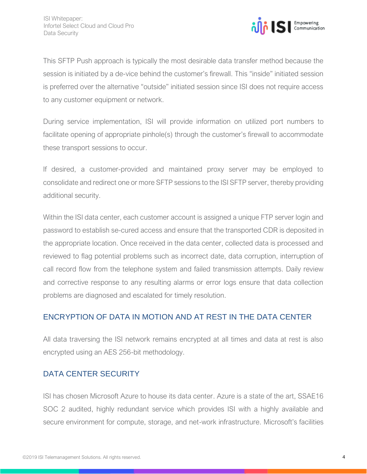

This SFTP Push approach is typically the most desirable data transfer method because the session is initiated by a de-vice behind the customer's firewall. This "inside" initiated session is preferred over the alternative "outside" initiated session since ISI does not require access to any customer equipment or network.

During service implementation, ISI will provide information on utilized port numbers to facilitate opening of appropriate pinhole(s) through the customer's firewall to accommodate these transport sessions to occur.

If desired, a customer-provided and maintained proxy server may be employed to consolidate and redirect one or more SFTP sessions to the ISI SFTP server, thereby providing additional security.

Within the ISI data center, each customer account is assigned a unique FTP server login and password to establish se-cured access and ensure that the transported CDR is deposited in the appropriate location. Once received in the data center, collected data is processed and reviewed to flag potential problems such as incorrect date, data corruption, interruption of call record flow from the telephone system and failed transmission attempts. Daily review and corrective response to any resulting alarms or error logs ensure that data collection problems are diagnosed and escalated for timely resolution.

# ENCRYPTION OF DATA IN MOTION AND AT REST IN THE DATA CENTER

All data traversing the ISI network remains encrypted at all times and data at rest is also encrypted using an AES 256-bit methodology.

# DATA CENTER SECURITY

ISI has chosen Microsoft Azure to house its data center. Azure is a state of the art, SSAE16 SOC 2 audited, highly redundant service which provides ISI with a highly available and secure environment for compute, storage, and net-work infrastructure. Microsoft's facilities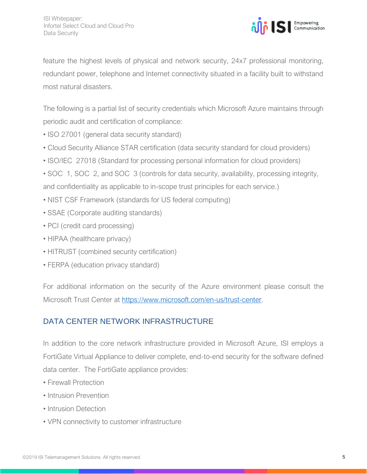

feature the highest levels of physical and network security, 24x7 professional monitoring, redundant power, telephone and Internet connectivity situated in a facility built to withstand most natural disasters.

The following is a partial list of security credentials which Microsoft Azure maintains through periodic audit and certification of compliance:

- ISO 27001 (general data security standard)
- Cloud Security Alliance STAR certification (data security standard for cloud providers)
- ISO/IEC 27018 (Standard for processing personal information for cloud providers)
- SOC 1, SOC 2, and SOC 3 (controls for data security, availability, processing integrity, and confidentiality as applicable to in-scope trust principles for each service.)
- NIST CSF Framework (standards for US federal computing)
- SSAE (Corporate auditing standards)
- PCI (credit card processing)
- HIPAA (healthcare privacy)
- HITRUST (combined security certification)
- FERPA (education privacy standard)

For additional information on the security of the Azure environment please consult the Microsoft Trust Center at [https://www.microsoft.com/en-us/trust-center.](https://www.microsoft.com/en-us/trust-center)

## DATA CENTER NETWORK INFRASTRUCTURE

In addition to the core network infrastructure provided in Microsoft Azure, ISI employs a FortiGate Virtual Appliance to deliver complete, end-to-end security for the software defined data center. The FortiGate appliance provides:

- Firewall Protection
- Intrusion Prevention
- Intrusion Detection
- VPN connectivity to customer infrastructure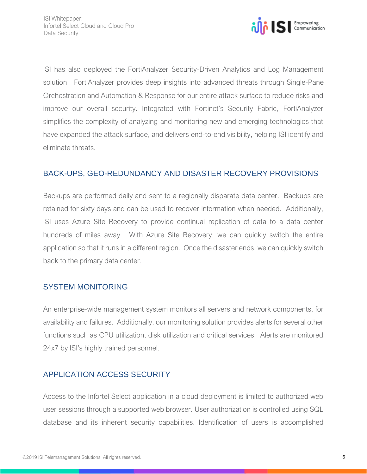

ISI has also deployed the FortiAnalyzer Security-Driven Analytics and Log Management solution. FortiAnalyzer provides deep insights into advanced threats through Single-Pane Orchestration and Automation & Response for our entire attack surface to reduce risks and improve our overall security. Integrated with Fortinet's Security Fabric, FortiAnalyzer simplifies the complexity of analyzing and monitoring new and emerging technologies that have expanded the attack surface, and delivers end-to-end visibility, helping ISI identify and eliminate threats.

## BACK-UPS, GEO-REDUNDANCY AND DISASTER RECOVERY PROVISIONS

Backups are performed daily and sent to a regionally disparate data center. Backups are retained for sixty days and can be used to recover information when needed. Additionally, ISI uses Azure Site Recovery to provide continual replication of data to a data center hundreds of miles away. With Azure Site Recovery, we can quickly switch the entire application so that it runs in a different region. Once the disaster ends, we can quickly switch back to the primary data center.

## SYSTEM MONITORING

An enterprise-wide management system monitors all servers and network components, for availability and failures. Additionally, our monitoring solution provides alerts for several other functions such as CPU utilization, disk utilization and critical services. Alerts are monitored 24x7 by ISI's highly trained personnel.

# APPLICATION ACCESS SECURITY

Access to the Infortel Select application in a cloud deployment is limited to authorized web user sessions through a supported web browser. User authorization is controlled using SQL database and its inherent security capabilities. Identification of users is accomplished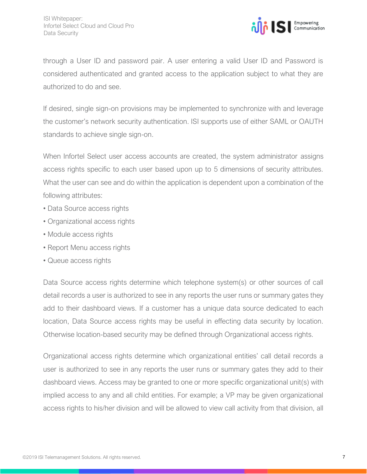

through a User ID and password pair. A user entering a valid User ID and Password is considered authenticated and granted access to the application subject to what they are authorized to do and see.

If desired, single sign-on provisions may be implemented to synchronize with and leverage the customer's network security authentication. ISI supports use of either SAML or OAUTH standards to achieve single sign-on.

When Infortel Select user access accounts are created, the system administrator assigns access rights specific to each user based upon up to 5 dimensions of security attributes. What the user can see and do within the application is dependent upon a combination of the following attributes:

- Data Source access rights
- Organizational access rights
- Module access rights
- Report Menu access rights
- Queue access rights

Data Source access rights determine which telephone system(s) or other sources of call detail records a user is authorized to see in any reports the user runs or summary gates they add to their dashboard views. If a customer has a unique data source dedicated to each location, Data Source access rights may be useful in effecting data security by location. Otherwise location-based security may be defined through Organizational access rights.

Organizational access rights determine which organizational entities' call detail records a user is authorized to see in any reports the user runs or summary gates they add to their dashboard views. Access may be granted to one or more specific organizational unit(s) with implied access to any and all child entities. For example; a VP may be given organizational access rights to his/her division and will be allowed to view call activity from that division, all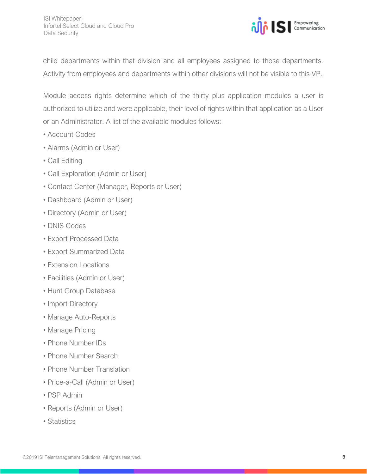

child departments within that division and all employees assigned to those departments. Activity from employees and departments within other divisions will not be visible to this VP.

Module access rights determine which of the thirty plus application modules a user is authorized to utilize and were applicable, their level of rights within that application as a User or an Administrator. A list of the available modules follows:

- Account Codes
- Alarms (Admin or User)
- Call Editing
- Call Exploration (Admin or User)
- Contact Center (Manager, Reports or User)
- Dashboard (Admin or User)
- Directory (Admin or User)
- DNIS Codes
- Export Processed Data
- Export Summarized Data
- Extension Locations
- Facilities (Admin or User)
- Hunt Group Database
- Import Directory
- Manage Auto-Reports
- Manage Pricing
- Phone Number IDs
- Phone Number Search
- Phone Number Translation
- Price-a-Call (Admin or User)
- PSP Admin
- Reports (Admin or User)
- Statistics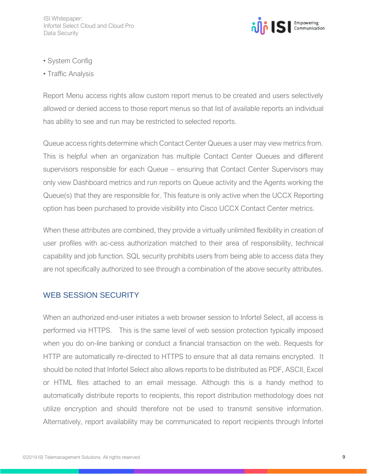

- System Config
- Traffic Analysis

Report Menu access rights allow custom report menus to be created and users selectively allowed or denied access to those report menus so that list of available reports an individual has ability to see and run may be restricted to selected reports.

Queue access rights determine which Contact Center Queues a user may view metrics from. This is helpful when an organization has multiple Contact Center Queues and different supervisors responsible for each Queue – ensuring that Contact Center Supervisors may only view Dashboard metrics and run reports on Queue activity and the Agents working the Queue(s) that they are responsible for. This feature is only active when the UCCX Reporting option has been purchased to provide visibility into Cisco UCCX Contact Center metrics.

When these attributes are combined, they provide a virtually unlimited flexibility in creation of user profiles with ac-cess authorization matched to their area of responsibility, technical capability and job function. SQL security prohibits users from being able to access data they are not specifically authorized to see through a combination of the above security attributes.

# WEB SESSION SECURITY

When an authorized end-user initiates a web browser session to Infortel Select, all access is performed via HTTPS. This is the same level of web session protection typically imposed when you do on-line banking or conduct a financial transaction on the web. Requests for HTTP are automatically re-directed to HTTPS to ensure that all data remains encrypted. It should be noted that Infortel Select also allows reports to be distributed as PDF, ASCII, Excel or HTML files attached to an email message. Although this is a handy method to automatically distribute reports to recipients, this report distribution methodology does not utilize encryption and should therefore not be used to transmit sensitive information. Alternatively, report availability may be communicated to report recipients through Infortel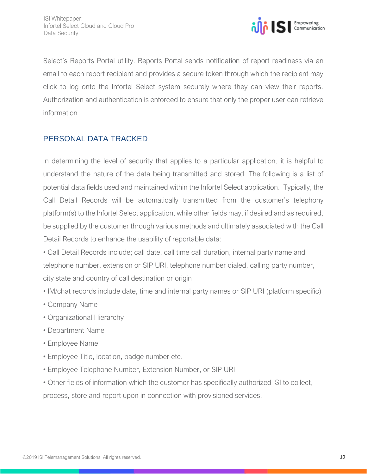

Select's Reports Portal utility. Reports Portal sends notification of report readiness via an email to each report recipient and provides a secure token through which the recipient may click to log onto the Infortel Select system securely where they can view their reports. Authorization and authentication is enforced to ensure that only the proper user can retrieve information.

## PERSONAL DATA TRACKED

In determining the level of security that applies to a particular application, it is helpful to understand the nature of the data being transmitted and stored. The following is a list of potential data fields used and maintained within the Infortel Select application. Typically, the Call Detail Records will be automatically transmitted from the customer's telephony platform(s) to the Infortel Select application, while other fields may, if desired and as required, be supplied by the customer through various methods and ultimately associated with the Call Detail Records to enhance the usability of reportable data:

• Call Detail Records include; call date, call time call duration, internal party name and telephone number, extension or SIP URI, telephone number dialed, calling party number, city state and country of call destination or origin

- IM/chat records include date, time and internal party names or SIP URI (platform specific)
- Company Name
- Organizational Hierarchy
- Department Name
- Employee Name
- Employee Title, location, badge number etc.
- Employee Telephone Number, Extension Number, or SIP URI
- Other fields of information which the customer has specifically authorized ISI to collect, process, store and report upon in connection with provisioned services.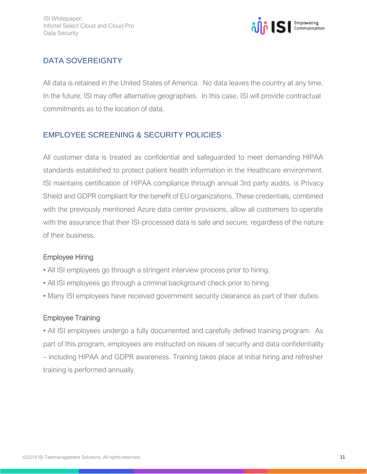

# DATA SOVEREIGNTY

All data is retained in the United States of America. No data leaves the country at any time. In the future, ISI may offer alternative geographies. In this case, ISI will provide contractual commitments as to the location of data.

# EMPLOYEE SCREENING & SECURITY POLICIES

All customer data is treated as confidential and safeguarded to meet demanding HIPAA standards established to protect patient health information in the Healthcare environment. ISI maintains certification of HIPAA compliance through annual 3rd party audits, is Privacy Shield and GDPR compliant for the benefit of EU organizations. These credentials, combined with the previously mentioned Azure data center provisions, allow all customers to operate with the assurance that their ISI-processed data is safe and secure, regardless of the nature of their business.

#### Employee Hiring

- All ISI employees go through a stringent interview process prior to hiring.
- All ISI employees go through a criminal background check prior to hiring.
- Many ISI employees have received government security clearance as part of their duties.

#### Employee Training

• All ISI employees undergo a fully documented and carefully defined training program. As part of this program, employees are instructed on issues of security and data confidentiality – including HIPAA and GDPR awareness. Training takes place at initial hiring and refresher training is performed annually